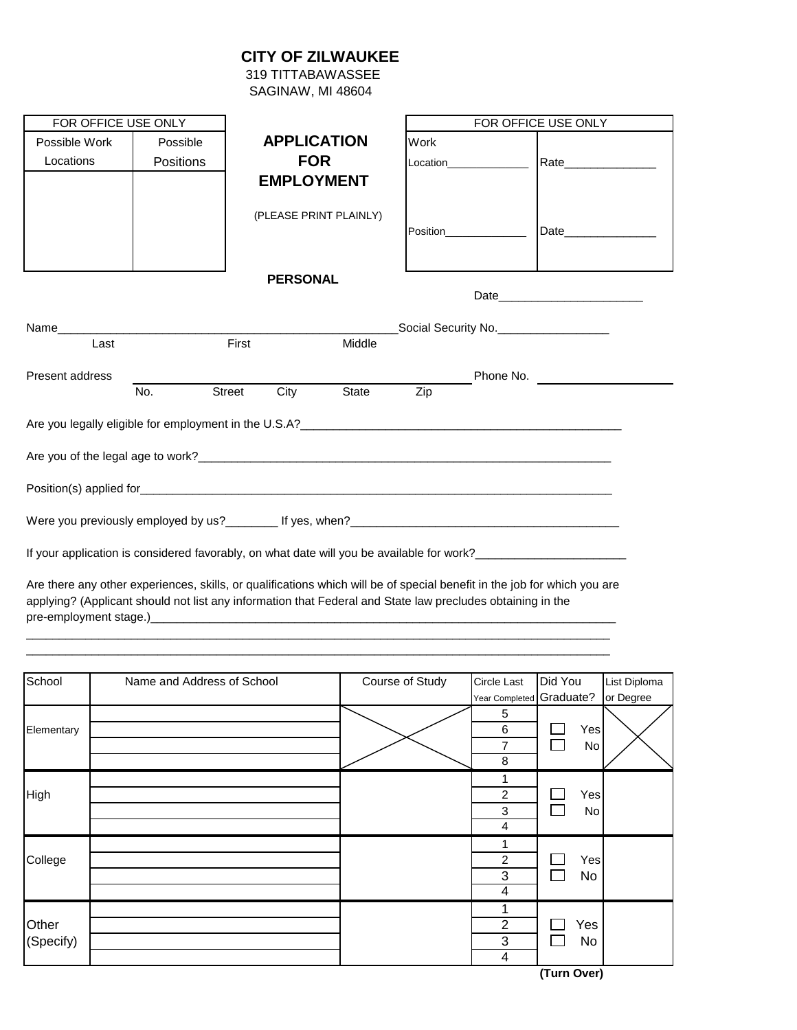## **CITY OF ZILWAUKEE**

 319 TITTABAWASSEE SAGINAW, MI 48604

| FOR OFFICE USE ONLY                                                                                                                                                                                                            |                  |                    |                        |                  | FOR OFFICE USE ONLY |                                         |  |  |
|--------------------------------------------------------------------------------------------------------------------------------------------------------------------------------------------------------------------------------|------------------|--------------------|------------------------|------------------|---------------------|-----------------------------------------|--|--|
| Possible Work                                                                                                                                                                                                                  | Possible         | <b>APPLICATION</b> |                        | Work             |                     |                                         |  |  |
| Locations                                                                                                                                                                                                                      | <b>Positions</b> | <b>FOR</b>         |                        |                  |                     | Rate                                    |  |  |
|                                                                                                                                                                                                                                |                  | <b>EMPLOYMENT</b>  |                        |                  |                     |                                         |  |  |
|                                                                                                                                                                                                                                |                  |                    | (PLEASE PRINT PLAINLY) |                  |                     |                                         |  |  |
|                                                                                                                                                                                                                                |                  | <b>PERSONAL</b>    |                        |                  |                     |                                         |  |  |
|                                                                                                                                                                                                                                |                  |                    |                        |                  |                     |                                         |  |  |
| Name and the contract of the contract of the contract of the contract of the contract of the contract of the contract of the contract of the contract of the contract of the contract of the contract of the contract of the c |                  |                    |                        |                  |                     | Social Security No. ___________________ |  |  |
| Last                                                                                                                                                                                                                           |                  | First              | Middle                 |                  |                     |                                         |  |  |
| <b>Present address</b>                                                                                                                                                                                                         |                  |                    |                        |                  |                     |                                         |  |  |
|                                                                                                                                                                                                                                | No.              | Street<br>City     | State                  | $\overline{Zip}$ |                     |                                         |  |  |
|                                                                                                                                                                                                                                |                  |                    |                        |                  |                     |                                         |  |  |
|                                                                                                                                                                                                                                |                  |                    |                        |                  |                     |                                         |  |  |
|                                                                                                                                                                                                                                |                  |                    |                        |                  |                     |                                         |  |  |
|                                                                                                                                                                                                                                |                  |                    |                        |                  |                     |                                         |  |  |
| If your application is considered favorably, on what date will you be available for work?_____________________                                                                                                                 |                  |                    |                        |                  |                     |                                         |  |  |

Are there any other experiences, skills, or qualifications which will be of special benefit in the job for which you are applying? (Applicant should not list any information that Federal and State law precludes obtaining in the pre-employment stage.)\_\_\_\_\_\_\_\_\_\_\_\_\_\_\_\_\_\_\_\_\_\_\_\_\_\_\_\_\_\_\_\_\_\_\_\_\_\_\_\_\_\_\_\_\_\_\_\_\_\_\_\_\_\_\_\_\_\_\_\_\_\_\_\_\_\_\_\_\_\_\_

\_\_\_\_\_\_\_\_\_\_\_\_\_\_\_\_\_\_\_\_\_\_\_\_\_\_\_\_\_\_\_\_\_\_\_\_\_\_\_\_\_\_\_\_\_\_\_\_\_\_\_\_\_\_\_\_\_\_\_\_\_\_\_\_\_\_\_\_\_\_\_\_\_\_\_\_\_\_\_\_\_\_\_\_\_\_\_\_\_

| School     | Name and Address of School | Course of Study | Circle Last              | Did You | List Diploma |
|------------|----------------------------|-----------------|--------------------------|---------|--------------|
|            |                            |                 | Year Completed Graduate? |         | or Degree    |
|            |                            |                 | 5                        |         |              |
| Elementary |                            |                 | 6                        | Yes     |              |
|            |                            |                 | $\overline{7}$           | No      |              |
|            |                            |                 | 8                        |         |              |
|            |                            |                 |                          |         |              |
| High       |                            |                 | $\overline{c}$           | Yes     |              |
|            |                            |                 | 3                        | No      |              |
|            |                            |                 | 4                        |         |              |
|            |                            |                 |                          |         |              |
| College    |                            |                 | $\overline{c}$           | Yes     |              |
|            |                            |                 | 3                        | No      |              |
|            |                            |                 | 4                        |         |              |
|            |                            |                 |                          |         |              |
| Other      |                            |                 | 2                        | Yes     |              |
| (Specify)  |                            |                 | 3                        | No      |              |
|            |                            |                 | 4                        |         |              |

**(Turn Over)**